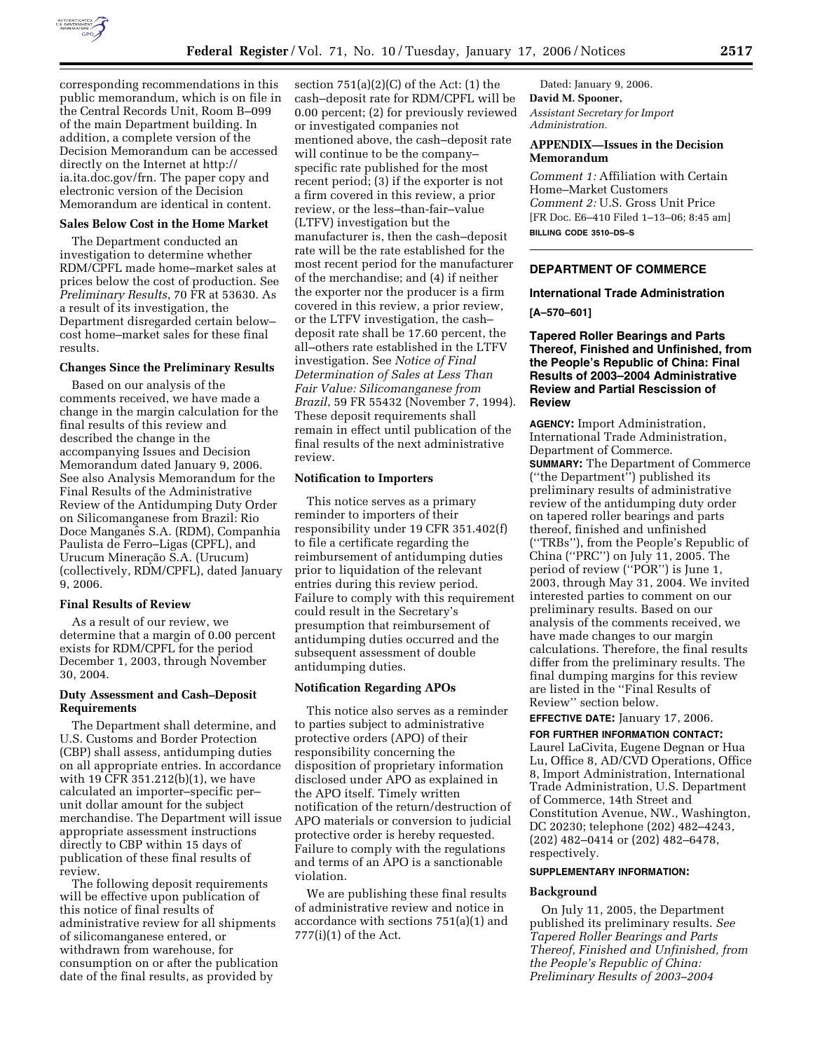

corresponding recommendations in this public memorandum, which is on file in the Central Records Unit, Room B–099 of the main Department building. In addition, a complete version of the Decision Memorandum can be accessed directly on the Internet at http:// ia.ita.doc.gov/frn. The paper copy and

# Memorandum are identical in content. **Sales Below Cost in the Home Market**

electronic version of the Decision

The Department conducted an investigation to determine whether RDM/CPFL made home–market sales at prices below the cost of production. See *Preliminary Results*, 70 FR at 53630. As a result of its investigation, the Department disregarded certain below– cost home–market sales for these final results.

### **Changes Since the Preliminary Results**

Based on our analysis of the comments received, we have made a change in the margin calculation for the final results of this review and described the change in the accompanying Issues and Decision Memorandum dated January 9, 2006. See also Analysis Memorandum for the Final Results of the Administrative Review of the Antidumping Duty Order on Silicomanganese from Brazil: Rio Doce Manganês S.A. (RDM), Companhia Paulista de Ferro–Ligas (CPFL), and Urucum Mineração S.A. (Urucum) (collectively, RDM/CPFL), dated January 9, 2006.

### **Final Results of Review**

As a result of our review, we determine that a margin of 0.00 percent exists for RDM/CPFL for the period December 1, 2003, through November 30, 2004.

### **Duty Assessment and Cash–Deposit Requirements**

The Department shall determine, and U.S. Customs and Border Protection (CBP) shall assess, antidumping duties on all appropriate entries. In accordance with 19 CFR 351.212(b)(1), we have calculated an importer–specific per– unit dollar amount for the subject merchandise. The Department will issue appropriate assessment instructions directly to CBP within 15 days of publication of these final results of review.

The following deposit requirements will be effective upon publication of this notice of final results of administrative review for all shipments of silicomanganese entered, or withdrawn from warehouse, for consumption on or after the publication date of the final results, as provided by

section  $751(a)(2)(C)$  of the Act:  $(1)$  the cash–deposit rate for RDM/CPFL will be 0.00 percent; (2) for previously reviewed or investigated companies not mentioned above, the cash–deposit rate will continue to be the company– specific rate published for the most recent period; (3) if the exporter is not a firm covered in this review, a prior review, or the less–than-fair–value (LTFV) investigation but the manufacturer is, then the cash–deposit rate will be the rate established for the most recent period for the manufacturer of the merchandise; and (4) if neither the exporter nor the producer is a firm covered in this review, a prior review, or the LTFV investigation, the cash– deposit rate shall be 17.60 percent, the all–others rate established in the LTFV investigation. See *Notice of Final Determination of Sales at Less Than Fair Value: Silicomanganese from Brazil*, 59 FR 55432 (November 7, 1994). These deposit requirements shall remain in effect until publication of the final results of the next administrative review.

### **Notification to Importers**

This notice serves as a primary reminder to importers of their responsibility under 19 CFR 351.402(f) to file a certificate regarding the reimbursement of antidumping duties prior to liquidation of the relevant entries during this review period. Failure to comply with this requirement could result in the Secretary's presumption that reimbursement of antidumping duties occurred and the subsequent assessment of double antidumping duties.

### **Notification Regarding APOs**

This notice also serves as a reminder to parties subject to administrative protective orders (APO) of their responsibility concerning the disposition of proprietary information disclosed under APO as explained in the APO itself. Timely written notification of the return/destruction of APO materials or conversion to judicial protective order is hereby requested. Failure to comply with the regulations and terms of an APO is a sanctionable violation.

We are publishing these final results of administrative review and notice in accordance with sections 751(a)(1) and 777(i)(1) of the Act.

Dated: January 9, 2006. **David M. Spooner,**  *Assistant Secretary for Import Administration.* 

## **APPENDIX—Issues in the Decision Memorandum**

*Comment 1:* Affiliation with Certain Home–Market Customers *Comment 2:* U.S. Gross Unit Price [FR Doc. E6–410 Filed 1–13–06; 8:45 am] **BILLING CODE 3510–DS–S** 

## **DEPARTMENT OF COMMERCE**

### **International Trade Administration**

**[A–570–601]** 

### **Tapered Roller Bearings and Parts Thereof, Finished and Unfinished, from the People's Republic of China: Final Results of 2003–2004 Administrative Review and Partial Rescission of Review**

**AGENCY:** Import Administration, International Trade Administration, Department of Commerce. **SUMMARY:** The Department of Commerce (''the Department'') published its preliminary results of administrative review of the antidumping duty order on tapered roller bearings and parts thereof, finished and unfinished (''TRBs''), from the People's Republic of China (''PRC'') on July 11, 2005. The period of review (''POR'') is June 1, 2003, through May 31, 2004. We invited interested parties to comment on our preliminary results. Based on our analysis of the comments received, we have made changes to our margin calculations. Therefore, the final results differ from the preliminary results. The final dumping margins for this review are listed in the ''Final Results of Review'' section below.

### **EFFECTIVE DATE:** January 17, 2006. **FOR FURTHER INFORMATION CONTACT:**

Laurel LaCivita, Eugene Degnan or Hua Lu, Office 8, AD/CVD Operations, Office 8, Import Administration, International Trade Administration, U.S. Department of Commerce, 14th Street and Constitution Avenue, NW., Washington, DC 20230; telephone (202) 482–4243, (202) 482–0414 or (202) 482–6478, respectively.

### **SUPPLEMENTARY INFORMATION:**

#### **Background**

On July 11, 2005, the Department published its preliminary results. *See Tapered Roller Bearings and Parts Thereof, Finished and Unfinished, from the People's Republic of China: Preliminary Results of 2003–2004*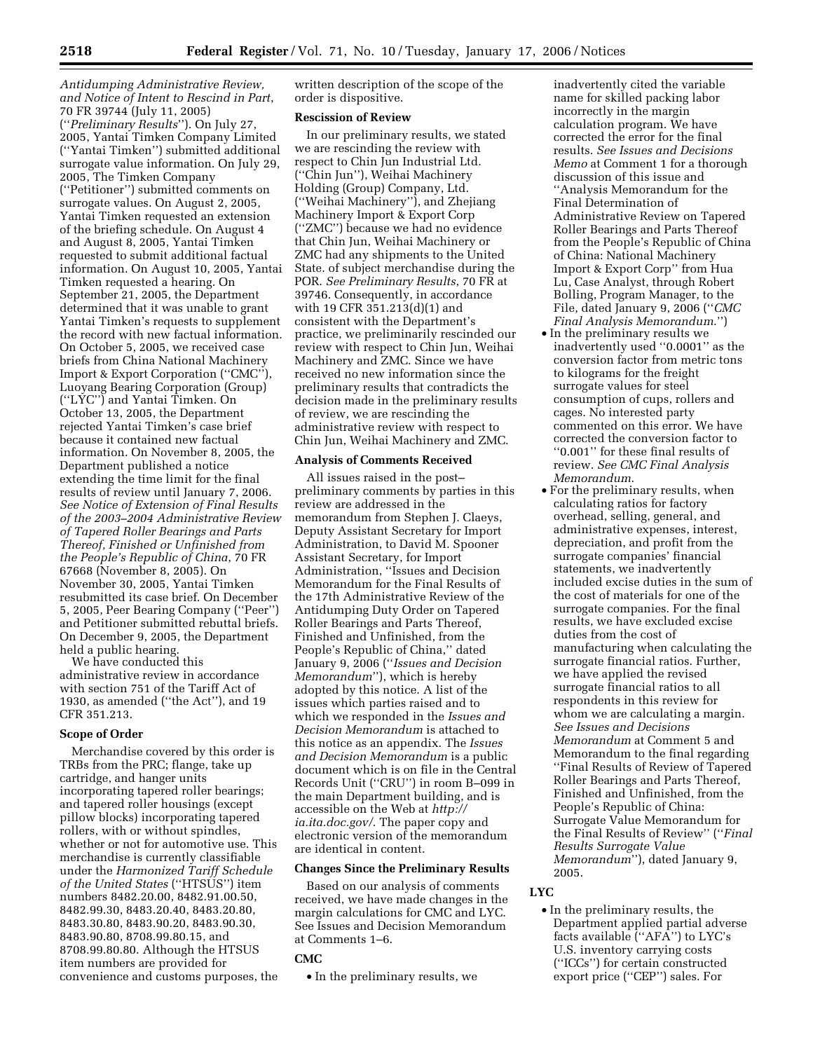*Antidumping Administrative Review, and Notice of Intent to Rescind in Part*, 70 FR 39744 (July 11, 2005) (''*Preliminary Results*''). On July 27, 2005, Yantai Timken Company Limited (''Yantai Timken'') submitted additional surrogate value information. On July 29, 2005, The Timken Company (''Petitioner'') submitted comments on surrogate values. On August 2, 2005, Yantai Timken requested an extension of the briefing schedule. On August 4 and August 8, 2005, Yantai Timken requested to submit additional factual information. On August 10, 2005, Yantai Timken requested a hearing. On September 21, 2005, the Department determined that it was unable to grant Yantai Timken's requests to supplement the record with new factual information. On October 5, 2005, we received case briefs from China National Machinery Import & Export Corporation (''CMC''), Luoyang Bearing Corporation (Group) (''LYC'') and Yantai Timken. On October 13, 2005, the Department rejected Yantai Timken's case brief because it contained new factual information. On November 8, 2005, the Department published a notice extending the time limit for the final results of review until January 7, 2006. *See Notice of Extension of Final Results of the 2003–2004 Administrative Review of Tapered Roller Bearings and Parts Thereof, Finished or Unfinished from the People's Republic of China*, 70 FR 67668 (November 8, 2005). On November 30, 2005, Yantai Timken resubmitted its case brief. On December 5, 2005, Peer Bearing Company (''Peer'') and Petitioner submitted rebuttal briefs. On December 9, 2005, the Department held a public hearing.

We have conducted this administrative review in accordance with section 751 of the Tariff Act of 1930, as amended (''the Act''), and 19 CFR 351.213.

### **Scope of Order**

Merchandise covered by this order is TRBs from the PRC; flange, take up cartridge, and hanger units incorporating tapered roller bearings; and tapered roller housings (except pillow blocks) incorporating tapered rollers, with or without spindles, whether or not for automotive use. This merchandise is currently classifiable under the *Harmonized Tariff Schedule of the United States* (''HTSUS'') item numbers 8482.20.00, 8482.91.00.50, 8482.99.30, 8483.20.40, 8483.20.80, 8483.30.80, 8483.90.20, 8483.90.30, 8483.90.80, 8708.99.80.15, and 8708.99.80.80. Although the HTSUS item numbers are provided for convenience and customs purposes, the written description of the scope of the order is dispositive.

#### **Rescission of Review**

In our preliminary results, we stated we are rescinding the review with respect to Chin Jun Industrial Ltd. (''Chin Jun''), Weihai Machinery Holding (Group) Company, Ltd. (''Weihai Machinery''), and Zhejiang Machinery Import & Export Corp (''ZMC'') because we had no evidence that Chin Jun, Weihai Machinery or ZMC had any shipments to the United State. of subject merchandise during the POR. *See Preliminary Results*, 70 FR at 39746. Consequently, in accordance with 19 CFR 351.213(d)(1) and consistent with the Department's practice, we preliminarily rescinded our review with respect to Chin Jun, Weihai Machinery and ZMC. Since we have received no new information since the preliminary results that contradicts the decision made in the preliminary results of review, we are rescinding the administrative review with respect to Chin Jun, Weihai Machinery and ZMC.

## **Analysis of Comments Received**

All issues raised in the post– preliminary comments by parties in this review are addressed in the memorandum from Stephen J. Claeys, Deputy Assistant Secretary for Import Administration, to David M. Spooner Assistant Secretary, for Import Administration, ''Issues and Decision Memorandum for the Final Results of the 17th Administrative Review of the Antidumping Duty Order on Tapered Roller Bearings and Parts Thereof, Finished and Unfinished, from the People's Republic of China,'' dated January 9, 2006 (''*Issues and Decision Memorandum*''), which is hereby adopted by this notice. A list of the issues which parties raised and to which we responded in the *Issues and Decision Memorandum* is attached to this notice as an appendix. The *Issues and Decision Memorandum* is a public document which is on file in the Central Records Unit (''CRU'') in room B–099 in the main Department building, and is accessible on the Web at *http:// ia.ita.doc.gov/*. The paper copy and electronic version of the memorandum are identical in content.

### **Changes Since the Preliminary Results**

Based on our analysis of comments received, we have made changes in the margin calculations for CMC and LYC. See Issues and Decision Memorandum at Comments 1–6.

### **CMC**

• In the preliminary results, we

inadvertently cited the variable name for skilled packing labor incorrectly in the margin calculation program. We have corrected the error for the final results. *See Issues and Decisions Memo* at Comment 1 for a thorough discussion of this issue and ''Analysis Memorandum for the Final Determination of Administrative Review on Tapered Roller Bearings and Parts Thereof from the People's Republic of China of China: National Machinery Import & Export Corp'' from Hua Lu, Case Analyst, through Robert Bolling, Program Manager, to the File, dated January 9, 2006 (''*CMC Final Analysis Memorandum*.'')

- In the preliminary results we inadvertently used ''0.0001'' as the conversion factor from metric tons to kilograms for the freight surrogate values for steel consumption of cups, rollers and cages. No interested party commented on this error. We have corrected the conversion factor to ''0.001'' for these final results of review. *See CMC Final Analysis Memorandum*.
- For the preliminary results, when calculating ratios for factory overhead, selling, general, and administrative expenses, interest, depreciation, and profit from the surrogate companies' financial statements, we inadvertently included excise duties in the sum of the cost of materials for one of the surrogate companies. For the final results, we have excluded excise duties from the cost of manufacturing when calculating the surrogate financial ratios. Further, we have applied the revised surrogate financial ratios to all respondents in this review for whom we are calculating a margin. *See Issues and Decisions Memorandum* at Comment 5 and Memorandum to the final regarding ''Final Results of Review of Tapered Roller Bearings and Parts Thereof, Finished and Unfinished, from the People's Republic of China: Surrogate Value Memorandum for the Final Results of Review'' (''*Final Results Surrogate Value Memorandum*''), dated January 9, 2005.

### **LYC**

• In the preliminary results, the Department applied partial adverse facts available (''AFA'') to LYC's U.S. inventory carrying costs (''ICCs'') for certain constructed export price (''CEP'') sales. For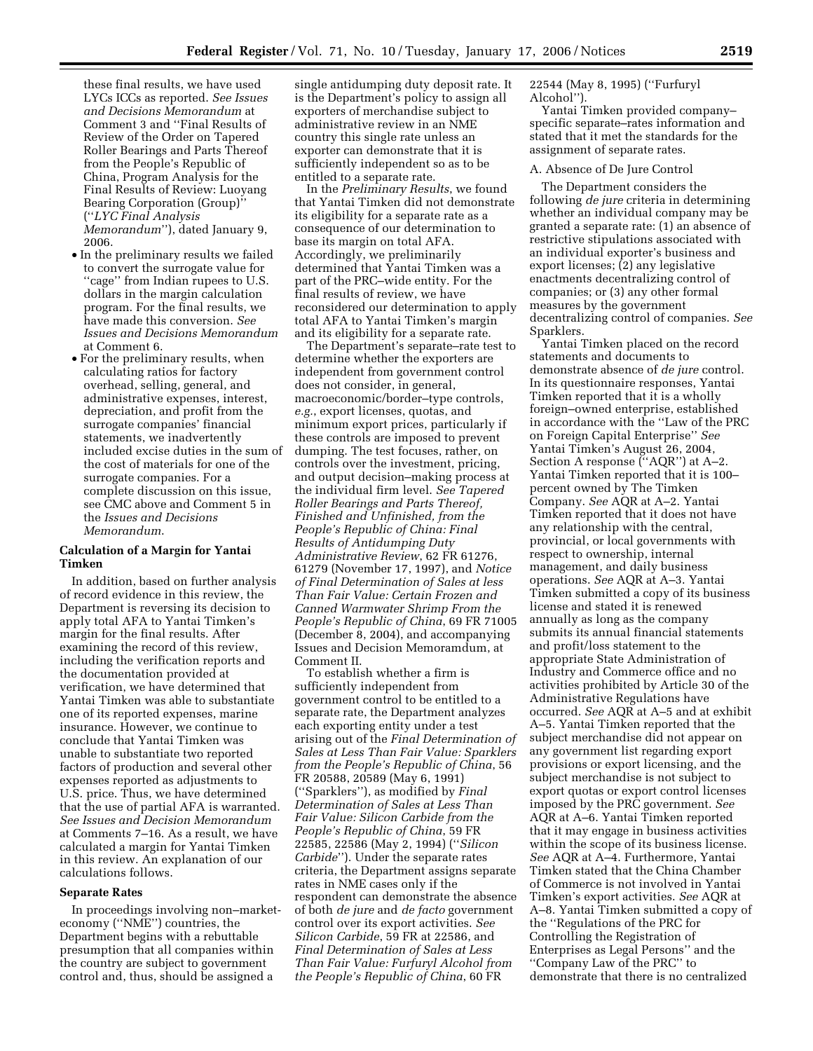these final results, we have used LYCs ICCs as reported. *See Issues and Decisions Memorandum* at Comment 3 and ''Final Results of Review of the Order on Tapered Roller Bearings and Parts Thereof from the People's Republic of China, Program Analysis for the Final Results of Review: Luoyang Bearing Corporation (Group)'' (''*LYC Final Analysis* 

*Memorandum*''), dated January 9, 2006.

- In the preliminary results we failed to convert the surrogate value for ''cage'' from Indian rupees to U.S. dollars in the margin calculation program. For the final results, we have made this conversion. *See Issues and Decisions Memorandum*  at Comment 6.
- For the preliminary results, when calculating ratios for factory overhead, selling, general, and administrative expenses, interest, depreciation, and profit from the surrogate companies' financial statements, we inadvertently included excise duties in the sum of the cost of materials for one of the surrogate companies. For a complete discussion on this issue, see CMC above and Comment 5 in the *Issues and Decisions Memorandum*.

### **Calculation of a Margin for Yantai Timken**

In addition, based on further analysis of record evidence in this review, the Department is reversing its decision to apply total AFA to Yantai Timken's margin for the final results. After examining the record of this review, including the verification reports and the documentation provided at verification, we have determined that Yantai Timken was able to substantiate one of its reported expenses, marine insurance. However, we continue to conclude that Yantai Timken was unable to substantiate two reported factors of production and several other expenses reported as adjustments to U.S. price. Thus, we have determined that the use of partial AFA is warranted. *See Issues and Decision Memorandum*  at Comments 7–16. As a result, we have calculated a margin for Yantai Timken in this review. An explanation of our calculations follows.

### **Separate Rates**

In proceedings involving non–marketeconomy (''NME'') countries, the Department begins with a rebuttable presumption that all companies within the country are subject to government control and, thus, should be assigned a

single antidumping duty deposit rate. It is the Department's policy to assign all exporters of merchandise subject to administrative review in an NME country this single rate unless an exporter can demonstrate that it is sufficiently independent so as to be entitled to a separate rate.

In the *Preliminary Results*, we found that Yantai Timken did not demonstrate its eligibility for a separate rate as a consequence of our determination to base its margin on total AFA. Accordingly, we preliminarily determined that Yantai Timken was a part of the PRC–wide entity. For the final results of review, we have reconsidered our determination to apply total AFA to Yantai Timken's margin and its eligibility for a separate rate.

The Department's separate–rate test to determine whether the exporters are independent from government control does not consider, in general, macroeconomic/border–type controls, *e.g.*, export licenses, quotas, and minimum export prices, particularly if these controls are imposed to prevent dumping. The test focuses, rather, on controls over the investment, pricing, and output decision–making process at the individual firm level. *See Tapered Roller Bearings and Parts Thereof, Finished and Unfinished, from the People's Republic of China: Final Results of Antidumping Duty Administrative Review*, 62 FR 61276, 61279 (November 17, 1997), and *Notice of Final Determination of Sales at less Than Fair Value: Certain Frozen and Canned Warmwater Shrimp From the People's Republic of China*, 69 FR 71005 (December 8, 2004), and accompanying Issues and Decision Memoramdum, at Comment II.

To establish whether a firm is sufficiently independent from government control to be entitled to a separate rate, the Department analyzes each exporting entity under a test arising out of the *Final Determination of Sales at Less Than Fair Value: Sparklers from the People's Republic of China*, 56 FR 20588, 20589 (May 6, 1991) (''Sparklers''), as modified by *Final Determination of Sales at Less Than Fair Value: Silicon Carbide from the People's Republic of China*, 59 FR 22585, 22586 (May 2, 1994) (''*Silicon Carbide*''). Under the separate rates criteria, the Department assigns separate rates in NME cases only if the respondent can demonstrate the absence of both *de jure* and *de facto* government control over its export activities. *See Silicon Carbide*, 59 FR at 22586, and *Final Determination of Sales at Less Than Fair Value: Furfuryl Alcohol from the People's Republic of China*, 60 FR

22544 (May 8, 1995) (''Furfuryl Alcohol'').

Yantai Timken provided company– specific separate–rates information and stated that it met the standards for the assignment of separate rates.

### A. Absence of De Jure Control

The Department considers the following *de jure* criteria in determining whether an individual company may be granted a separate rate: (1) an absence of restrictive stipulations associated with an individual exporter's business and export licenses; (2) any legislative enactments decentralizing control of companies; or (3) any other formal measures by the government decentralizing control of companies. *See*  Sparklers.

Yantai Timken placed on the record statements and documents to demonstrate absence of *de jure* control. In its questionnaire responses, Yantai Timken reported that it is a wholly foreign–owned enterprise, established in accordance with the ''Law of the PRC on Foreign Capital Enterprise'' *See*  Yantai Timken's August 26, 2004, Section A response (''AQR'') at A–2. Yantai Timken reported that it is 100– percent owned by The Timken Company. *See* AQR at A–2. Yantai Timken reported that it does not have any relationship with the central, provincial, or local governments with respect to ownership, internal management, and daily business operations. *See* AQR at A–3. Yantai Timken submitted a copy of its business license and stated it is renewed annually as long as the company submits its annual financial statements and profit/loss statement to the appropriate State Administration of Industry and Commerce office and no activities prohibited by Article 30 of the Administrative Regulations have occurred. *See* AQR at A–5 and at exhibit A–5. Yantai Timken reported that the subject merchandise did not appear on any government list regarding export provisions or export licensing, and the subject merchandise is not subject to export quotas or export control licenses imposed by the PRC government. *See*  AQR at A–6. Yantai Timken reported that it may engage in business activities within the scope of its business license. *See* AQR at A–4. Furthermore, Yantai Timken stated that the China Chamber of Commerce is not involved in Yantai Timken's export activities. *See* AQR at A–8. Yantai Timken submitted a copy of the ''Regulations of the PRC for Controlling the Registration of Enterprises as Legal Persons'' and the ''Company Law of the PRC'' to demonstrate that there is no centralized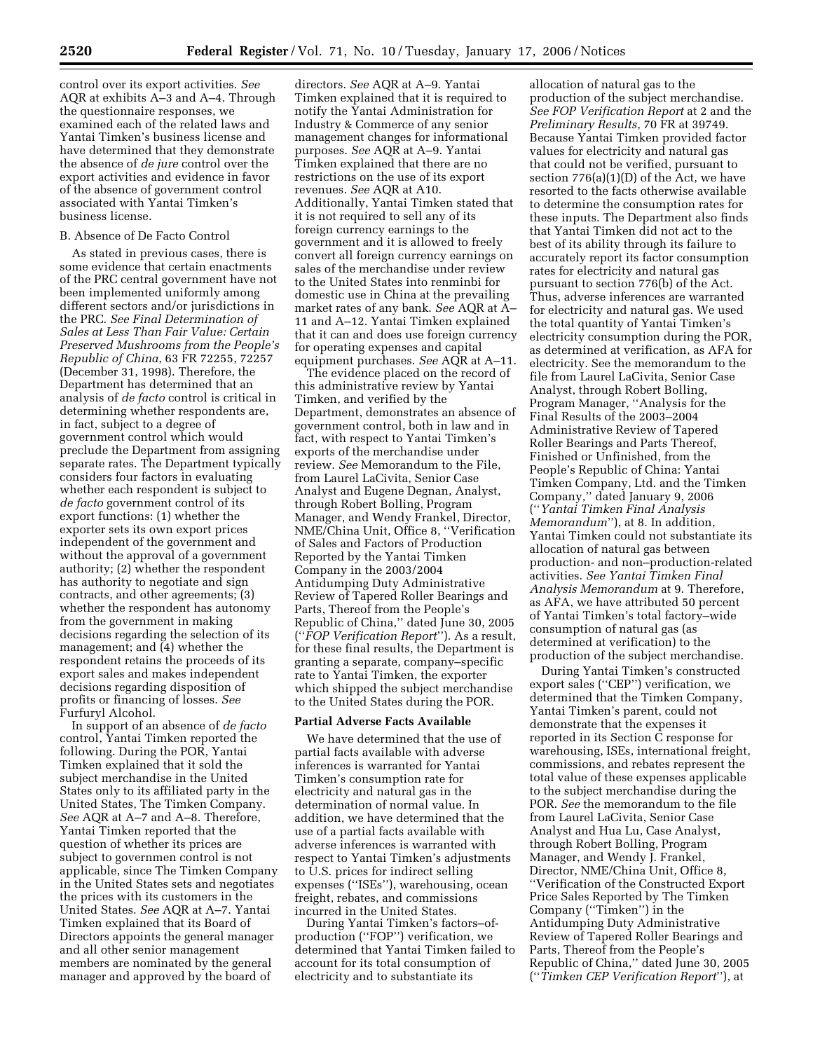control over its export activities. *See*  AQR at exhibits A–3 and A–4. Through the questionnaire responses, we examined each of the related laws and Yantai Timken's business license and have determined that they demonstrate the absence of *de jure* control over the export activities and evidence in favor of the absence of government control associated with Yantai Timken's business license.

### B. Absence of De Facto Control

As stated in previous cases, there is some evidence that certain enactments of the PRC central government have not been implemented uniformly among different sectors and/or jurisdictions in the PRC. *See Final Determination of Sales at Less Than Fair Value: Certain Preserved Mushrooms from the People's Republic of China*, 63 FR 72255, 72257 (December 31, 1998). Therefore, the Department has determined that an analysis of *de facto* control is critical in determining whether respondents are, in fact, subject to a degree of government control which would preclude the Department from assigning separate rates. The Department typically considers four factors in evaluating whether each respondent is subject to *de facto* government control of its export functions: (1) whether the exporter sets its own export prices independent of the government and without the approval of a government authority; (2) whether the respondent has authority to negotiate and sign contracts, and other agreements; (3) whether the respondent has autonomy from the government in making decisions regarding the selection of its management; and (4) whether the respondent retains the proceeds of its export sales and makes independent decisions regarding disposition of profits or financing of losses. *See*  Furfuryl Alcohol.

In support of an absence of *de facto*  control, Yantai Timken reported the following. During the POR, Yantai Timken explained that it sold the subject merchandise in the United States only to its affiliated party in the United States, The Timken Company. *See* AQR at A–7 and A–8. Therefore, Yantai Timken reported that the question of whether its prices are subject to governmen control is not applicable, since The Timken Company in the United States sets and negotiates the prices with its customers in the United States. *See* AQR at A–7. Yantai Timken explained that its Board of Directors appoints the general manager and all other senior management members are nominated by the general manager and approved by the board of

directors. *See* AQR at A–9. Yantai Timken explained that it is required to notify the Yantai Administration for Industry & Commerce of any senior management changes for informational purposes. *See* AQR at A–9. Yantai Timken explained that there are no restrictions on the use of its export revenues. *See* AQR at A10. Additionally, Yantai Timken stated that it is not required to sell any of its foreign currency earnings to the government and it is allowed to freely convert all foreign currency earnings on sales of the merchandise under review to the United States into renminbi for domestic use in China at the prevailing market rates of any bank. *See* AQR at A– 11 and A–12. Yantai Timken explained that it can and does use foreign currency for operating expenses and capital equipment purchases. *See* AQR at A–11.

The evidence placed on the record of this administrative review by Yantai Timken, and verified by the Department, demonstrates an absence of government control, both in law and in fact, with respect to Yantai Timken's exports of the merchandise under review. *See* Memorandum to the File, from Laurel LaCivita, Senior Case Analyst and Eugene Degnan, Analyst, through Robert Bolling, Program Manager, and Wendy Frankel, Director, NME/China Unit, Office 8, ''Verification of Sales and Factors of Production Reported by the Yantai Timken Company in the 2003/2004 Antidumping Duty Administrative Review of Tapered Roller Bearings and Parts, Thereof from the People's Republic of China,'' dated June 30, 2005 (''*FOP Verification Report*''). As a result, for these final results, the Department is granting a separate, company–specific rate to Yantai Timken, the exporter which shipped the subject merchandise to the United States during the POR.

## **Partial Adverse Facts Available**

We have determined that the use of partial facts available with adverse inferences is warranted for Yantai Timken's consumption rate for electricity and natural gas in the determination of normal value. In addition, we have determined that the use of a partial facts available with adverse inferences is warranted with respect to Yantai Timken's adjustments to U.S. prices for indirect selling expenses (''ISEs''), warehousing, ocean freight, rebates, and commissions incurred in the United States.

During Yantai Timken's factors–ofproduction (''FOP'') verification, we determined that Yantai Timken failed to account for its total consumption of electricity and to substantiate its

allocation of natural gas to the production of the subject merchandise. *See FOP Verification Report* at 2 and the *Preliminary Results*, 70 FR at 39749. Because Yantai Timken provided factor values for electricity and natural gas that could not be verified, pursuant to section 776(a)(1)(D) of the Act, we have resorted to the facts otherwise available to determine the consumption rates for these inputs. The Department also finds that Yantai Timken did not act to the best of its ability through its failure to accurately report its factor consumption rates for electricity and natural gas pursuant to section 776(b) of the Act. Thus, adverse inferences are warranted for electricity and natural gas. We used the total quantity of Yantai Timken's electricity consumption during the POR, as determined at verification, as AFA for electricity. See the memorandum to the file from Laurel LaCivita, Senior Case Analyst, through Robert Bolling, Program Manager, ''Analysis for the Final Results of the 2003–2004 Administrative Review of Tapered Roller Bearings and Parts Thereof, Finished or Unfinished, from the People's Republic of China: Yantai Timken Company, Ltd. and the Timken Company,'' dated January 9, 2006 (''*Yantai Timken Final Analysis Memorandum*''), at 8. In addition, Yantai Timken could not substantiate its allocation of natural gas between production- and non–production-related activities. *See Yantai Timken Final Analysis Memorandum* at 9. Therefore, as AFA, we have attributed 50 percent of Yantai Timken's total factory–wide consumption of natural gas (as determined at verification) to the production of the subject merchandise.

During Yantai Timken's constructed export sales (''CEP'') verification, we determined that the Timken Company, Yantai Timken's parent, could not demonstrate that the expenses it reported in its Section C response for warehousing, ISEs, international freight, commissions, and rebates represent the total value of these expenses applicable to the subject merchandise during the POR. *See* the memorandum to the file from Laurel LaCivita, Senior Case Analyst and Hua Lu, Case Analyst, through Robert Bolling, Program Manager, and Wendy J. Frankel, Director, NME/China Unit, Office 8, ''Verification of the Constructed Export Price Sales Reported by The Timken Company (''Timken'') in the Antidumping Duty Administrative Review of Tapered Roller Bearings and Parts, Thereof from the People's Republic of China,'' dated June 30, 2005 (''*Timken CEP Verification Report*''), at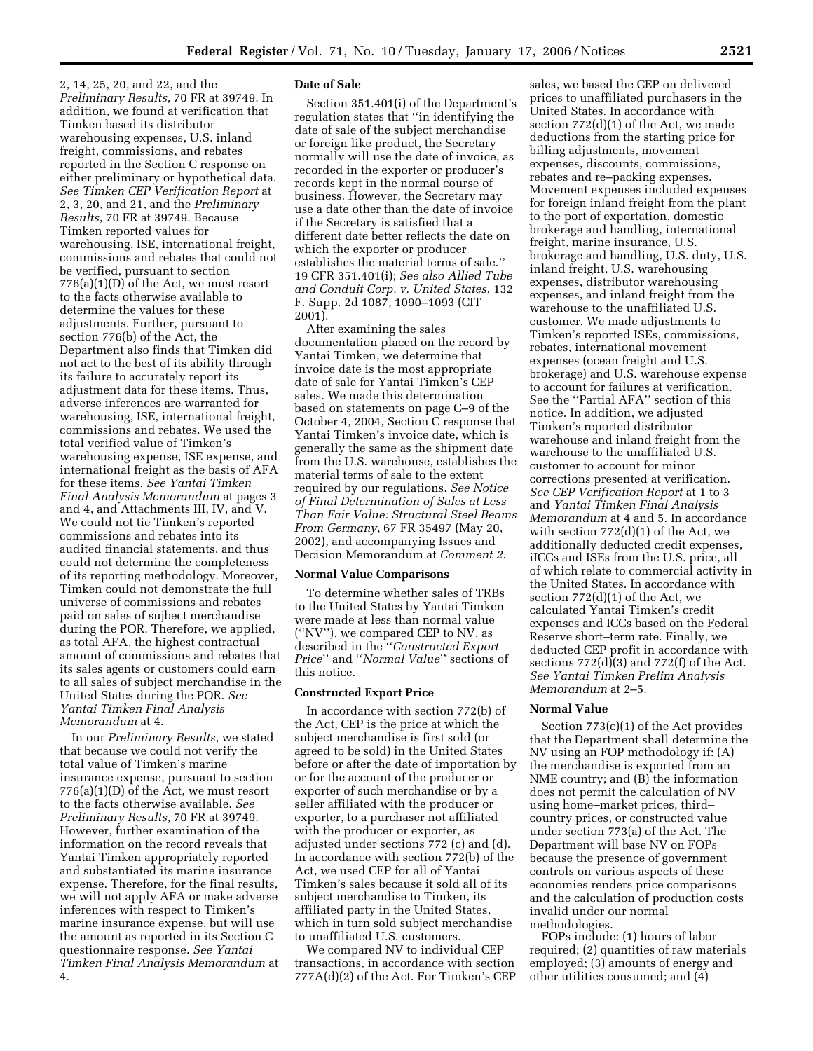2, 14, 25, 20, and 22, and the *Preliminary Results*, 70 FR at 39749. In addition, we found at verification that Timken based its distributor warehousing expenses, U.S. inland freight, commissions, and rebates reported in the Section C response on either preliminary or hypothetical data. *See Timken CEP Verification Report* at 2, 3, 20, and 21, and the *Preliminary Results*, 70 FR at 39749. Because Timken reported values for warehousing, ISE, international freight, commissions and rebates that could not be verified, pursuant to section 776(a)(1)(D) of the Act, we must resort to the facts otherwise available to determine the values for these adjustments. Further, pursuant to section 776(b) of the Act, the Department also finds that Timken did not act to the best of its ability through its failure to accurately report its adjustment data for these items. Thus, adverse inferences are warranted for warehousing, ISE, international freight, commissions and rebates. We used the total verified value of Timken's warehousing expense, ISE expense, and international freight as the basis of AFA for these items. *See Yantai Timken Final Analysis Memorandum* at pages 3 and 4, and Attachments III, IV, and V. We could not tie Timken's reported commissions and rebates into its audited financial statements, and thus could not determine the completeness of its reporting methodology. Moreover, Timken could not demonstrate the full universe of commissions and rebates paid on sales of sujbect merchandise during the POR. Therefore, we applied, as total AFA, the highest contractual amount of commissions and rebates that its sales agents or customers could earn to all sales of subject merchandise in the United States during the POR. *See Yantai Timken Final Analysis Memorandum* at 4.

In our *Preliminary Results*, we stated that because we could not verify the total value of Timken's marine insurance expense, pursuant to section 776(a)(1)(D) of the Act, we must resort to the facts otherwise available. *See Preliminary Results*, 70 FR at 39749. However, further examination of the information on the record reveals that Yantai Timken appropriately reported and substantiated its marine insurance expense. Therefore, for the final results, we will not apply AFA or make adverse inferences with respect to Timken's marine insurance expense, but will use the amount as reported in its Section C questionnaire response. *See Yantai Timken Final Analysis Memorandum* at 4.

#### **Date of Sale**

Section 351.401(i) of the Department's regulation states that ''in identifying the date of sale of the subject merchandise or foreign like product, the Secretary normally will use the date of invoice, as recorded in the exporter or producer's records kept in the normal course of business. However, the Secretary may use a date other than the date of invoice if the Secretary is satisfied that a different date better reflects the date on which the exporter or producer establishes the material terms of sale.'' 19 CFR 351.401(i); *See also Allied Tube and Conduit Corp. v. United States*, 132 F. Supp. 2d 1087, 1090–1093 (CIT 2001).

After examining the sales documentation placed on the record by Yantai Timken, we determine that invoice date is the most appropriate date of sale for Yantai Timken's CEP sales. We made this determination based on statements on page C–9 of the October 4, 2004, Section C response that Yantai Timken's invoice date, which is generally the same as the shipment date from the U.S. warehouse, establishes the material terms of sale to the extent required by our regulations. *See Notice of Final Determination of Sales at Less Than Fair Value: Structural Steel Beams From Germany*, 67 FR 35497 (May 20, 2002), and accompanying Issues and Decision Memorandum at *Comment 2*.

#### **Normal Value Comparisons**

To determine whether sales of TRBs to the United States by Yantai Timken were made at less than normal value (''NV''), we compared CEP to NV, as described in the ''*Constructed Export Price*'' and ''*Normal Value*'' sections of this notice.

### **Constructed Export Price**

In accordance with section 772(b) of the Act, CEP is the price at which the subject merchandise is first sold (or agreed to be sold) in the United States before or after the date of importation by or for the account of the producer or exporter of such merchandise or by a seller affiliated with the producer or exporter, to a purchaser not affiliated with the producer or exporter, as adjusted under sections 772 (c) and (d). In accordance with section 772(b) of the Act, we used CEP for all of Yantai Timken's sales because it sold all of its subject merchandise to Timken, its affiliated party in the United States, which in turn sold subject merchandise to unaffiliated U.S. customers.

We compared NV to individual CEP transactions, in accordance with section 777A(d)(2) of the Act. For Timken's CEP

sales, we based the CEP on delivered prices to unaffiliated purchasers in the United States. In accordance with section 772(d)(1) of the Act, we made deductions from the starting price for billing adjustments, movement expenses, discounts, commissions, rebates and re–packing expenses. Movement expenses included expenses for foreign inland freight from the plant to the port of exportation, domestic brokerage and handling, international freight, marine insurance, U.S. brokerage and handling, U.S. duty, U.S. inland freight, U.S. warehousing expenses, distributor warehousing expenses, and inland freight from the warehouse to the unaffiliated U.S. customer. We made adjustments to Timken's reported ISEs, commissions, rebates, international movement expenses (ocean freight and U.S. brokerage) and U.S. warehouse expense to account for failures at verification. See the ''Partial AFA'' section of this notice. In addition, we adjusted Timken's reported distributor warehouse and inland freight from the warehouse to the unaffiliated U.S. customer to account for minor corrections presented at verification. *See CEP Verification Report* at 1 to 3 and *Yantai Timken Final Analysis Memorandum* at 4 and 5. In accordance with section  $772(d)(1)$  of the Act, we additionally deducted credit expenses, iICCs and ISEs from the U.S. price, all of which relate to commercial activity in the United States. In accordance with section 772(d)(1) of the Act, we calculated Yantai Timken's credit expenses and ICCs based on the Federal Reserve short–term rate. Finally, we deducted CEP profit in accordance with sections  $772(d)(3)$  and  $772(f)$  of the Act. *See Yantai Timken Prelim Analysis Memorandum* at 2–5.

### **Normal Value**

Section 773(c)(1) of the Act provides that the Department shall determine the NV using an FOP methodology if: (A) the merchandise is exported from an NME country; and (B) the information does not permit the calculation of NV using home–market prices, third– country prices, or constructed value under section 773(a) of the Act. The Department will base NV on FOPs because the presence of government controls on various aspects of these economies renders price comparisons and the calculation of production costs invalid under our normal methodologies.

FOPs include: (1) hours of labor required; (2) quantities of raw materials employed; (3) amounts of energy and other utilities consumed; and (4)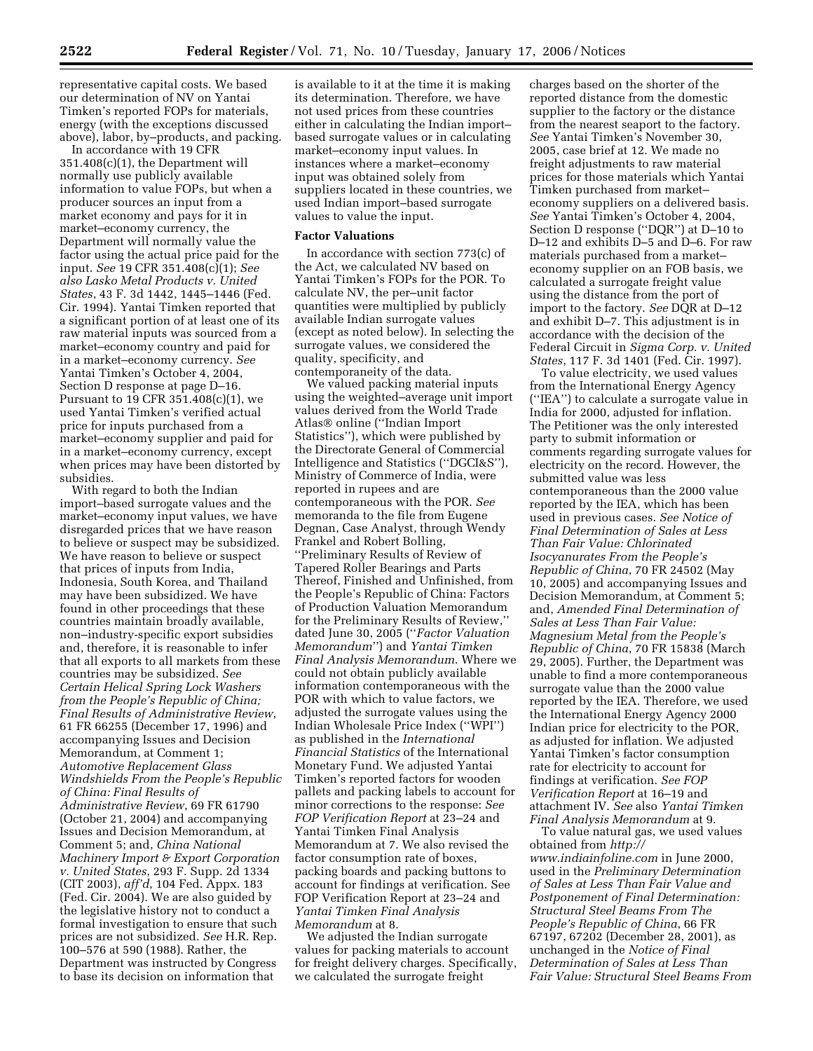representative capital costs. We based our determination of NV on Yantai Timken's reported FOPs for materials, energy (with the exceptions discussed above), labor, by–products, and packing.

In accordance with 19 CFR 351.408(c)(1), the Department will normally use publicly available information to value FOPs, but when a producer sources an input from a market economy and pays for it in market–economy currency, the Department will normally value the factor using the actual price paid for the input. *See* 19 CFR 351.408(c)(1); *See also Lasko Metal Products v. United States*, 43 F. 3d 1442, 1445–1446 (Fed. Cir. 1994). Yantai Timken reported that a significant portion of at least one of its raw material inputs was sourced from a market–economy country and paid for in a market–economy currency. *See*  Yantai Timken's October 4, 2004, Section D response at page D–16. Pursuant to 19 CFR 351.408(c)(1), we used Yantai Timken's verified actual price for inputs purchased from a market–economy supplier and paid for in a market–economy currency, except when prices may have been distorted by subsidies.

With regard to both the Indian import–based surrogate values and the market–economy input values, we have disregarded prices that we have reason to believe or suspect may be subsidized. We have reason to believe or suspect that prices of inputs from India, Indonesia, South Korea, and Thailand may have been subsidized. We have found in other proceedings that these countries maintain broadly available, non–industry-specific export subsidies and, therefore, it is reasonable to infer that all exports to all markets from these countries may be subsidized. *See Certain Helical Spring Lock Washers from the People's Republic of China; Final Results of Administrative Review*, 61 FR 66255 (December 17, 1996) and accompanying Issues and Decision Memorandum, at Comment 1; *Automotive Replacement Glass Windshields From the People's Republic of China: Final Results of Administrative Review*, 69 FR 61790 (October 21, 2004) and accompanying Issues and Decision Memorandum, at Comment 5; and, *China National Machinery Import & Export Corporation v. United States*, 293 F. Supp. 2d 1334 (CIT 2003), *aff'd*, 104 Fed. Appx. 183 (Fed. Cir. 2004). We are also guided by the legislative history not to conduct a formal investigation to ensure that such prices are not subsidized. *See* H.R. Rep. 100–576 at 590 (1988). Rather, the Department was instructed by Congress to base its decision on information that

is available to it at the time it is making its determination. Therefore, we have not used prices from these countries either in calculating the Indian import– based surrogate values or in calculating market–economy input values. In instances where a market–economy input was obtained solely from suppliers located in these countries, we used Indian import–based surrogate values to value the input.

#### **Factor Valuations**

In accordance with section 773(c) of the Act, we calculated NV based on Yantai Timken's FOPs for the POR. To calculate NV, the per–unit factor quantities were multiplied by publicly available Indian surrogate values (except as noted below). In selecting the surrogate values, we considered the quality, specificity, and contemporaneity of the data.

We valued packing material inputs using the weighted–average unit import values derived from the World Trade Atlas<sup>®</sup> online ("Indian Import Statistics''), which were published by the Directorate General of Commercial Intelligence and Statistics (''DGCI&S''), Ministry of Commerce of India, were reported in rupees and are contemporaneous with the POR. *See*  memoranda to the file from Eugene Degnan, Case Analyst, through Wendy Frankel and Robert Bolling, ''Preliminary Results of Review of Tapered Roller Bearings and Parts Thereof, Finished and Unfinished, from the People's Republic of China: Factors of Production Valuation Memorandum for the Preliminary Results of Review,'' dated June 30, 2005 (''*Factor Valuation Memorandum*'') and *Yantai Timken Final Analysis Memorandum*. Where we could not obtain publicly available information contemporaneous with the POR with which to value factors, we adjusted the surrogate values using the Indian Wholesale Price Index (''WPI'') as published in the *International Financial Statistics* of the International Monetary Fund. We adjusted Yantai Timken's reported factors for wooden pallets and packing labels to account for minor corrections to the response: *See FOP Verification Report* at 23–24 and Yantai Timken Final Analysis Memorandum at 7. We also revised the factor consumption rate of boxes, packing boards and packing buttons to account for findings at verification. See FOP Verification Report at 23–24 and *Yantai Timken Final Analysis Memorandum* at 8.

We adjusted the Indian surrogate values for packing materials to account for freight delivery charges. Specifically, we calculated the surrogate freight

charges based on the shorter of the reported distance from the domestic supplier to the factory or the distance from the nearest seaport to the factory. *See* Yantai Timken's November 30, 2005, case brief at 12. We made no freight adjustments to raw material prices for those materials which Yantai Timken purchased from market– economy suppliers on a delivered basis. *See* Yantai Timken's October 4, 2004, Section D response (''DQR'') at D–10 to D–12 and exhibits D–5 and D–6. For raw materials purchased from a market– economy supplier on an FOB basis, we calculated a surrogate freight value using the distance from the port of import to the factory. *See* DQR at D–12 and exhibit D–7. This adjustment is in accordance with the decision of the Federal Circuit in *Sigma Corp. v. United States*, 117 F. 3d 1401 (Fed. Cir. 1997).

To value electricity, we used values from the International Energy Agency (''IEA'') to calculate a surrogate value in India for 2000, adjusted for inflation. The Petitioner was the only interested party to submit information or comments regarding surrogate values for electricity on the record. However, the submitted value was less contemporaneous than the 2000 value reported by the IEA, which has been used in previous cases. *See Notice of Final Determination of Sales at Less Than Fair Value: Chlorinated Isocyanurates From the People's Republic of China*, 70 FR 24502 (May 10, 2005) and accompanying Issues and Decision Memorandum, at Comment 5; and, *Amended Final Determination of Sales at Less Than Fair Value: Magnesium Metal from the People's Republic of China*, 70 FR 15838 (March 29, 2005). Further, the Department was unable to find a more contemporaneous surrogate value than the 2000 value reported by the IEA. Therefore, we used the International Energy Agency 2000 Indian price for electricity to the POR, as adjusted for inflation. We adjusted Yantai Timken's factor consumption rate for electricity to account for findings at verification. *See FOP Verification Report* at 16–19 and attachment IV. *See* also *Yantai Timken Final Analysis Memorandum* at 9.

To value natural gas, we used values obtained from *http:// www.indiainfoline.com* in June 2000, used in the *Preliminary Determination of Sales at Less Than Fair Value and Postponement of Final Determination: Structural Steel Beams From The People's Republic of China*, 66 FR 67197, 67202 (December 28, 2001), as unchanged in the *Notice of Final Determination of Sales at Less Than Fair Value: Structural Steel Beams From*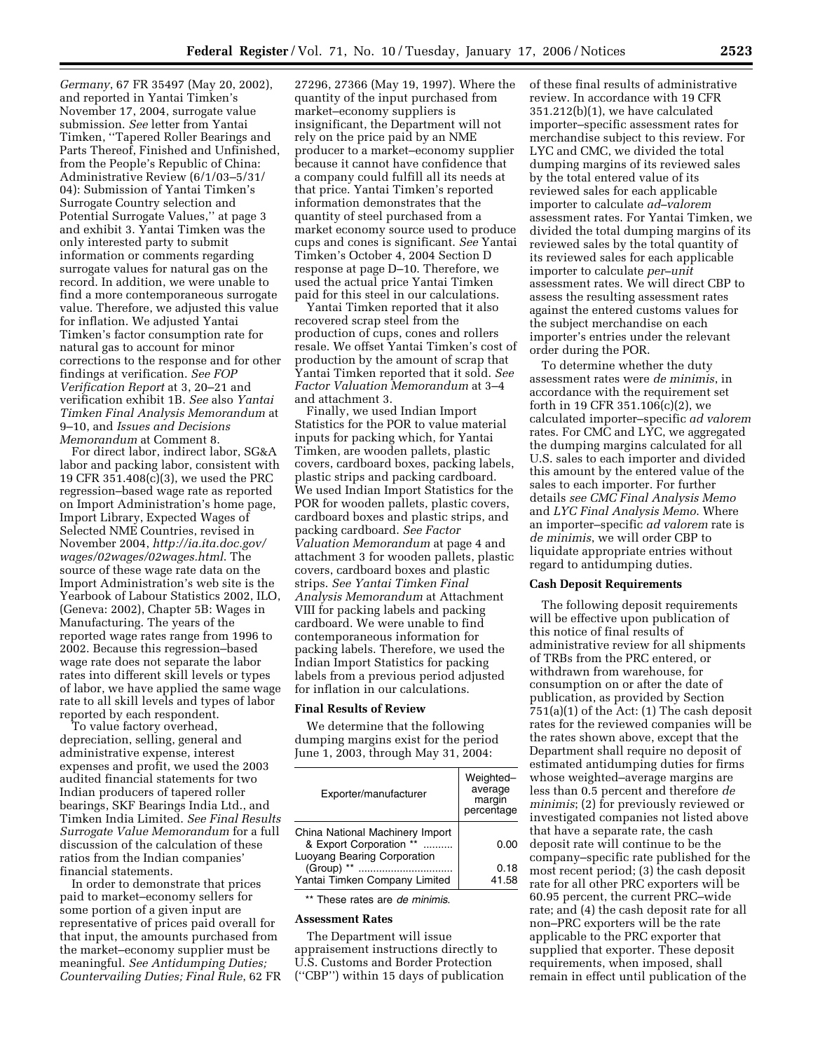*Germany*, 67 FR 35497 (May 20, 2002), and reported in Yantai Timken's November 17, 2004, surrogate value submission. *See* letter from Yantai Timken, ''Tapered Roller Bearings and Parts Thereof, Finished and Unfinished, from the People's Republic of China: Administrative Review (6/1/03–5/31/ 04): Submission of Yantai Timken's Surrogate Country selection and Potential Surrogate Values,'' at page 3 and exhibit 3. Yantai Timken was the only interested party to submit information or comments regarding surrogate values for natural gas on the record. In addition, we were unable to find a more contemporaneous surrogate value. Therefore, we adjusted this value for inflation. We adjusted Yantai Timken's factor consumption rate for natural gas to account for minor corrections to the response and for other findings at verification. *See FOP Verification Report* at 3, 20–21 and verification exhibit 1B. *See* also *Yantai Timken Final Analysis Memorandum* at 9–10, and *Issues and Decisions Memorandum* at Comment 8.

For direct labor, indirect labor, SG&A labor and packing labor, consistent with 19 CFR 351.408(c)(3), we used the PRC regression–based wage rate as reported on Import Administration's home page, Import Library, Expected Wages of Selected NME Countries, revised in November 2004, *http://ia.ita.doc.gov/ wages/02wages/02wages.html*. The source of these wage rate data on the Import Administration's web site is the Yearbook of Labour Statistics 2002, ILO, (Geneva: 2002), Chapter 5B: Wages in Manufacturing. The years of the reported wage rates range from 1996 to 2002. Because this regression–based wage rate does not separate the labor rates into different skill levels or types of labor, we have applied the same wage rate to all skill levels and types of labor reported by each respondent.

To value factory overhead, depreciation, selling, general and administrative expense, interest expenses and profit, we used the 2003 audited financial statements for two Indian producers of tapered roller bearings, SKF Bearings India Ltd., and Timken India Limited. *See Final Results Surrogate Value Memorandum* for a full discussion of the calculation of these ratios from the Indian companies' financial statements.

In order to demonstrate that prices paid to market–economy sellers for some portion of a given input are representative of prices paid overall for that input, the amounts purchased from the market–economy supplier must be meaningful. *See Antidumping Duties; Countervailing Duties; Final Rule*, 62 FR

27296, 27366 (May 19, 1997). Where the quantity of the input purchased from market–economy suppliers is insignificant, the Department will not rely on the price paid by an NME producer to a market–economy supplier because it cannot have confidence that a company could fulfill all its needs at that price. Yantai Timken's reported information demonstrates that the quantity of steel purchased from a market economy source used to produce cups and cones is significant. *See* Yantai Timken's October 4, 2004 Section D response at page D–10. Therefore, we used the actual price Yantai Timken paid for this steel in our calculations.

Yantai Timken reported that it also recovered scrap steel from the production of cups, cones and rollers resale. We offset Yantai Timken's cost of production by the amount of scrap that Yantai Timken reported that it sold. *See Factor Valuation Memorandum* at 3–4 and attachment 3.

Finally, we used Indian Import Statistics for the POR to value material inputs for packing which, for Yantai Timken, are wooden pallets, plastic covers, cardboard boxes, packing labels, plastic strips and packing cardboard. We used Indian Import Statistics for the POR for wooden pallets, plastic covers, cardboard boxes and plastic strips, and packing cardboard. *See Factor Valuation Memorandum* at page 4 and attachment 3 for wooden pallets, plastic covers, cardboard boxes and plastic strips. *See Yantai Timken Final Analysis Memorandum* at Attachment VIII for packing labels and packing cardboard. We were unable to find contemporaneous information for packing labels. Therefore, we used the Indian Import Statistics for packing labels from a previous period adjusted for inflation in our calculations.

### **Final Results of Review**

We determine that the following dumping margins exist for the period June 1, 2003, through May 31, 2004:

| Exporter/manufacturer                                                                     | Weighted-<br>average<br>margin<br>percentage |
|-------------------------------------------------------------------------------------------|----------------------------------------------|
| China National Machinery Import<br>& Export Corporation **<br>Luoyang Bearing Corporation | 0.00                                         |
| (Group) **<br>Yantai Timken Company Limited                                               | 0.18<br>41.58                                |

\*\* These rates are *de minimis*.

#### **Assessment Rates**

The Department will issue appraisement instructions directly to U.S. Customs and Border Protection (''CBP'') within 15 days of publication of these final results of administrative review. In accordance with 19 CFR 351.212(b)(1), we have calculated importer–specific assessment rates for merchandise subject to this review. For LYC and CMC, we divided the total dumping margins of its reviewed sales by the total entered value of its reviewed sales for each applicable importer to calculate *ad–valorem*  assessment rates. For Yantai Timken, we divided the total dumping margins of its reviewed sales by the total quantity of its reviewed sales for each applicable importer to calculate *per–unit*  assessment rates. We will direct CBP to assess the resulting assessment rates against the entered customs values for the subject merchandise on each importer's entries under the relevant order during the POR.

To determine whether the duty assessment rates were *de minimis*, in accordance with the requirement set forth in 19 CFR 351.106(c)(2), we calculated importer–specific *ad valorem*  rates. For CMC and LYC, we aggregated the dumping margins calculated for all U.S. sales to each importer and divided this amount by the entered value of the sales to each importer. For further details *see CMC Final Analysis Memo*  and *LYC Final Analysis Memo*. Where an importer–specific *ad valorem* rate is *de minimis*, we will order CBP to liquidate appropriate entries without regard to antidumping duties.

#### **Cash Deposit Requirements**

The following deposit requirements will be effective upon publication of this notice of final results of administrative review for all shipments of TRBs from the PRC entered, or withdrawn from warehouse, for consumption on or after the date of publication, as provided by Section 751(a)(1) of the Act: (1) The cash deposit rates for the reviewed companies will be the rates shown above, except that the Department shall require no deposit of estimated antidumping duties for firms whose weighted–average margins are less than 0.5 percent and therefore *de minimis*; (2) for previously reviewed or investigated companies not listed above that have a separate rate, the cash deposit rate will continue to be the company–specific rate published for the most recent period; (3) the cash deposit rate for all other PRC exporters will be 60.95 percent, the current PRC–wide rate; and (4) the cash deposit rate for all non–PRC exporters will be the rate applicable to the PRC exporter that supplied that exporter. These deposit requirements, when imposed, shall remain in effect until publication of the